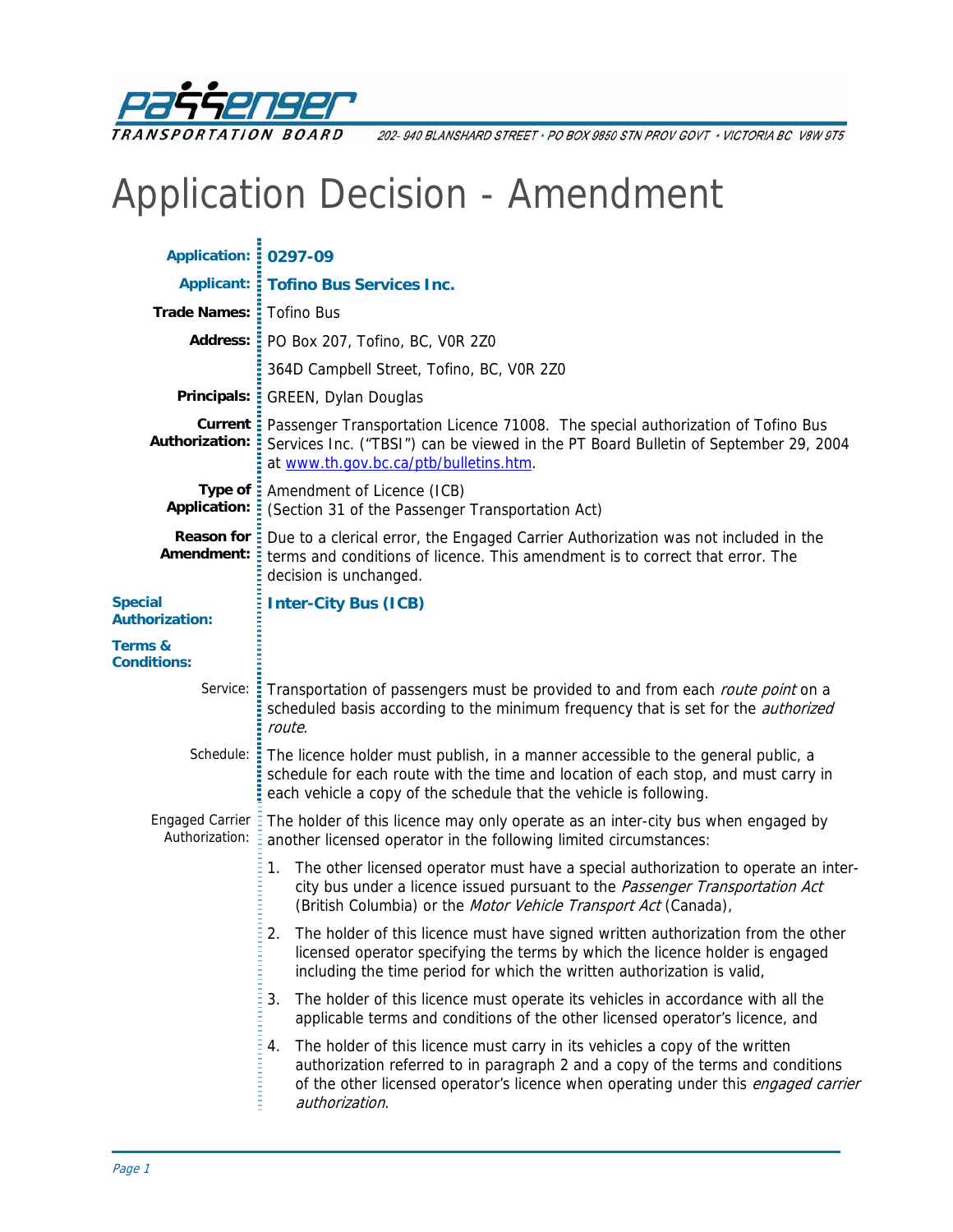

202- 940 BLANSHARD STREET · PO BOX 9850 STN PROV GOVT · VICTORIA BC V8W 9T5

## Application Decision - Amendment

| Application: : 0297-09                   |                                                                                                                                                                                                                                                                              |  |  |
|------------------------------------------|------------------------------------------------------------------------------------------------------------------------------------------------------------------------------------------------------------------------------------------------------------------------------|--|--|
|                                          | <b>Applicant: : Tofino Bus Services Inc.</b>                                                                                                                                                                                                                                 |  |  |
| Trade Names: : Tofino Bus                |                                                                                                                                                                                                                                                                              |  |  |
|                                          | Address: PO Box 207, Tofino, BC, VOR 2Z0                                                                                                                                                                                                                                     |  |  |
|                                          | 364D Campbell Street, Tofino, BC, VOR 2Z0                                                                                                                                                                                                                                    |  |  |
| Principals: :                            | GREEN, Dylan Douglas                                                                                                                                                                                                                                                         |  |  |
| Authorization:                           | Current: Passenger Transportation Licence 71008. The special authorization of Tofino Bus<br>Services Inc. ("TBSI") can be viewed in the PT Board Bulletin of September 29, 2004<br>at www.th.gov.bc.ca/ptb/bulletins.htm.                                                    |  |  |
| <b>Application:</b>                      | Type of : Amendment of Licence (ICB)<br>(Section 31 of the Passenger Transportation Act)                                                                                                                                                                                     |  |  |
| Amendment:                               | Reason for : Due to a clerical error, the Engaged Carrier Authorization was not included in the<br>terms and conditions of licence. This amendment is to correct that error. The<br>decision is unchanged.                                                                   |  |  |
| <b>Special</b><br><b>Authorization:</b>  | <b>Inter-City Bus (ICB)</b>                                                                                                                                                                                                                                                  |  |  |
| Terms &<br><b>Conditions:</b>            |                                                                                                                                                                                                                                                                              |  |  |
|                                          | Service: Transportation of passengers must be provided to and from each route point on a<br>scheduled basis according to the minimum frequency that is set for the <i>authorized</i><br>route.                                                                               |  |  |
| Schedule: :                              | The licence holder must publish, in a manner accessible to the general public, a<br>schedule for each route with the time and location of each stop, and must carry in<br>each vehicle a copy of the schedule that the vehicle is following.                                 |  |  |
| <b>Engaged Carrier</b><br>Authorization: | The holder of this licence may only operate as an inter-city bus when engaged by<br>another licensed operator in the following limited circumstances:                                                                                                                        |  |  |
|                                          | The other licensed operator must have a special authorization to operate an inter-<br>1.<br>city bus under a licence issued pursuant to the Passenger Transportation Act<br>(British Columbia) or the Motor Vehicle Transport Act (Canada),                                  |  |  |
|                                          | The holder of this licence must have signed written authorization from the other<br>2.<br>licensed operator specifying the terms by which the licence holder is engaged<br>including the time period for which the written authorization is valid,                           |  |  |
|                                          | The holder of this licence must operate its vehicles in accordance with all the<br>3.<br>applicable terms and conditions of the other licensed operator's licence, and                                                                                                       |  |  |
|                                          | The holder of this licence must carry in its vehicles a copy of the written<br>4.<br>authorization referred to in paragraph 2 and a copy of the terms and conditions<br>of the other licensed operator's licence when operating under this engaged carrier<br>authorization. |  |  |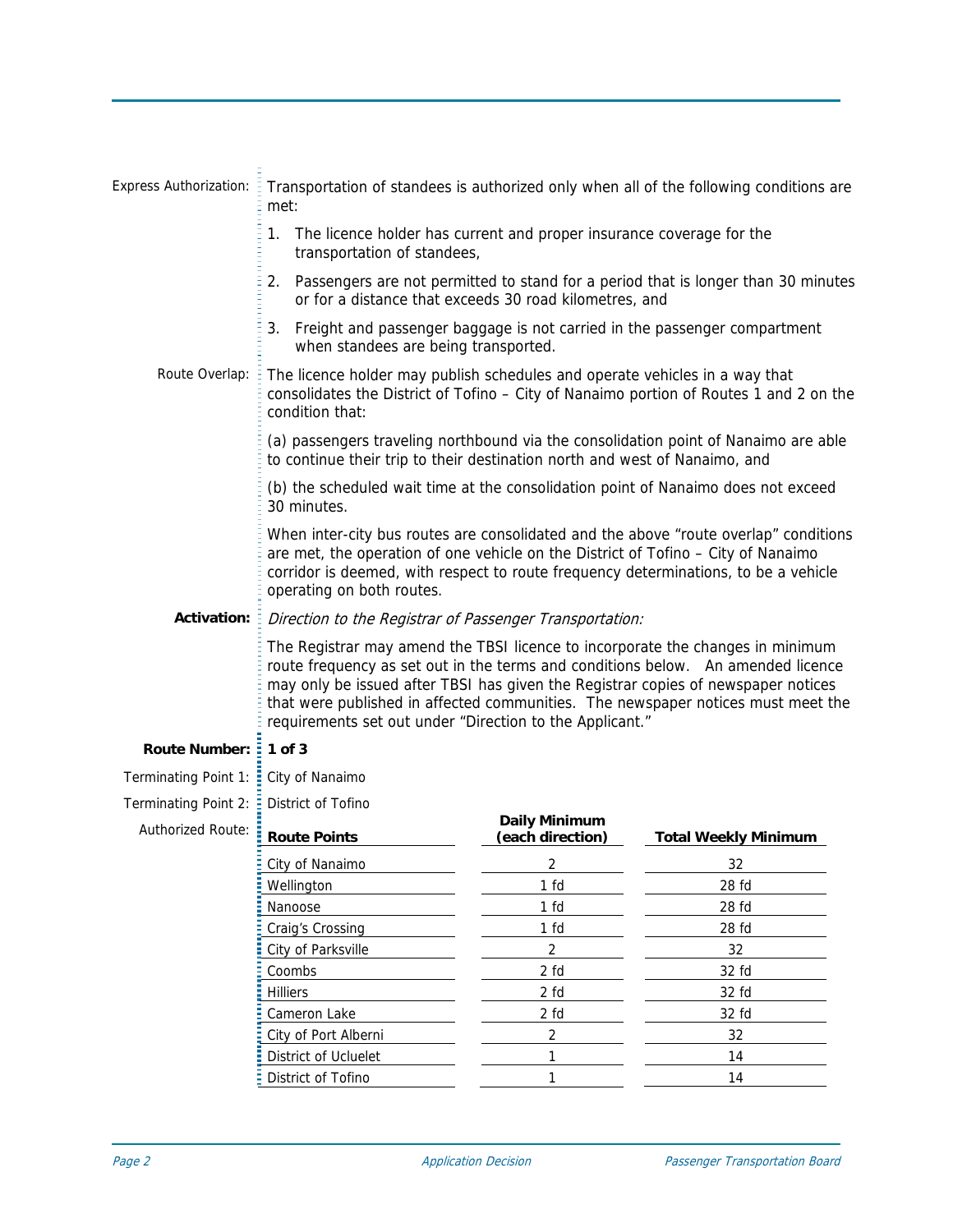| <b>Express Authorization:</b> | Transportation of standees is authorized only when all of the following conditions are<br>met:                                                                                                                                                                                                                                                                                                          |                                          |                                                                                   |  |  |
|-------------------------------|---------------------------------------------------------------------------------------------------------------------------------------------------------------------------------------------------------------------------------------------------------------------------------------------------------------------------------------------------------------------------------------------------------|------------------------------------------|-----------------------------------------------------------------------------------|--|--|
|                               | 1. The licence holder has current and proper insurance coverage for the<br>transportation of standees,                                                                                                                                                                                                                                                                                                  |                                          |                                                                                   |  |  |
|                               | 2.<br>or for a distance that exceeds 30 road kilometres, and                                                                                                                                                                                                                                                                                                                                            |                                          | Passengers are not permitted to stand for a period that is longer than 30 minutes |  |  |
|                               | 3.<br>when standees are being transported.                                                                                                                                                                                                                                                                                                                                                              |                                          | Freight and passenger baggage is not carried in the passenger compartment         |  |  |
| Route Overlap:                | The licence holder may publish schedules and operate vehicles in a way that<br>consolidates the District of Tofino - City of Nanaimo portion of Routes 1 and 2 on the<br>condition that:                                                                                                                                                                                                                |                                          |                                                                                   |  |  |
|                               | (a) passengers traveling northbound via the consolidation point of Nanaimo are able<br>to continue their trip to their destination north and west of Nanaimo, and                                                                                                                                                                                                                                       |                                          |                                                                                   |  |  |
|                               | (b) the scheduled wait time at the consolidation point of Nanaimo does not exceed<br>30 minutes.                                                                                                                                                                                                                                                                                                        |                                          |                                                                                   |  |  |
|                               | When inter-city bus routes are consolidated and the above "route overlap" conditions<br>are met, the operation of one vehicle on the District of Tofino – City of Nanaimo<br>corridor is deemed, with respect to route frequency determinations, to be a vehicle<br>operating on both routes.                                                                                                           |                                          |                                                                                   |  |  |
| <b>Activation:</b>            | Direction to the Registrar of Passenger Transportation:                                                                                                                                                                                                                                                                                                                                                 |                                          |                                                                                   |  |  |
|                               | The Registrar may amend the TBSI licence to incorporate the changes in minimum<br>route frequency as set out in the terms and conditions below. An amended licence<br>may only be issued after TBSI has given the Registrar copies of newspaper notices<br>that were published in affected communities. The newspaper notices must meet the<br>requirements set out under "Direction to the Applicant." |                                          |                                                                                   |  |  |
| <b>Route Number:</b>          | $1$ of $3$                                                                                                                                                                                                                                                                                                                                                                                              |                                          |                                                                                   |  |  |
| Terminating Point 1:          | City of Nanaimo<br>в                                                                                                                                                                                                                                                                                                                                                                                    |                                          |                                                                                   |  |  |
| Terminating Point 2:          | District of Tofino                                                                                                                                                                                                                                                                                                                                                                                      |                                          |                                                                                   |  |  |
| Authorized Route:             | <b>Route Points</b>                                                                                                                                                                                                                                                                                                                                                                                     | <b>Daily Minimum</b><br>(each direction) | <b>Total Weekly Minimum</b>                                                       |  |  |
|                               | City of Nanaimo                                                                                                                                                                                                                                                                                                                                                                                         | 2                                        | 32                                                                                |  |  |
|                               | Wellington                                                                                                                                                                                                                                                                                                                                                                                              | 1 fd                                     | 28 fd                                                                             |  |  |
|                               | Nanoose                                                                                                                                                                                                                                                                                                                                                                                                 | 1 fd                                     | 28 fd                                                                             |  |  |
|                               | Craig's Crossing                                                                                                                                                                                                                                                                                                                                                                                        | 1 fd                                     | 28 fd                                                                             |  |  |
|                               | City of Parksville                                                                                                                                                                                                                                                                                                                                                                                      | $\overline{a}$                           | 32                                                                                |  |  |
|                               | Coombs                                                                                                                                                                                                                                                                                                                                                                                                  | 2 fd                                     | 32 fd                                                                             |  |  |
|                               | <b>Hilliers</b>                                                                                                                                                                                                                                                                                                                                                                                         | 2 fd                                     | 32 fd                                                                             |  |  |
|                               | Cameron Lake                                                                                                                                                                                                                                                                                                                                                                                            | 2 fd                                     | 32 fd                                                                             |  |  |
|                               | City of Port Alberni                                                                                                                                                                                                                                                                                                                                                                                    | 2                                        | 32                                                                                |  |  |
|                               | District of Ucluelet                                                                                                                                                                                                                                                                                                                                                                                    | 1                                        | 14                                                                                |  |  |
|                               | District of Tofino                                                                                                                                                                                                                                                                                                                                                                                      | 1                                        | 14                                                                                |  |  |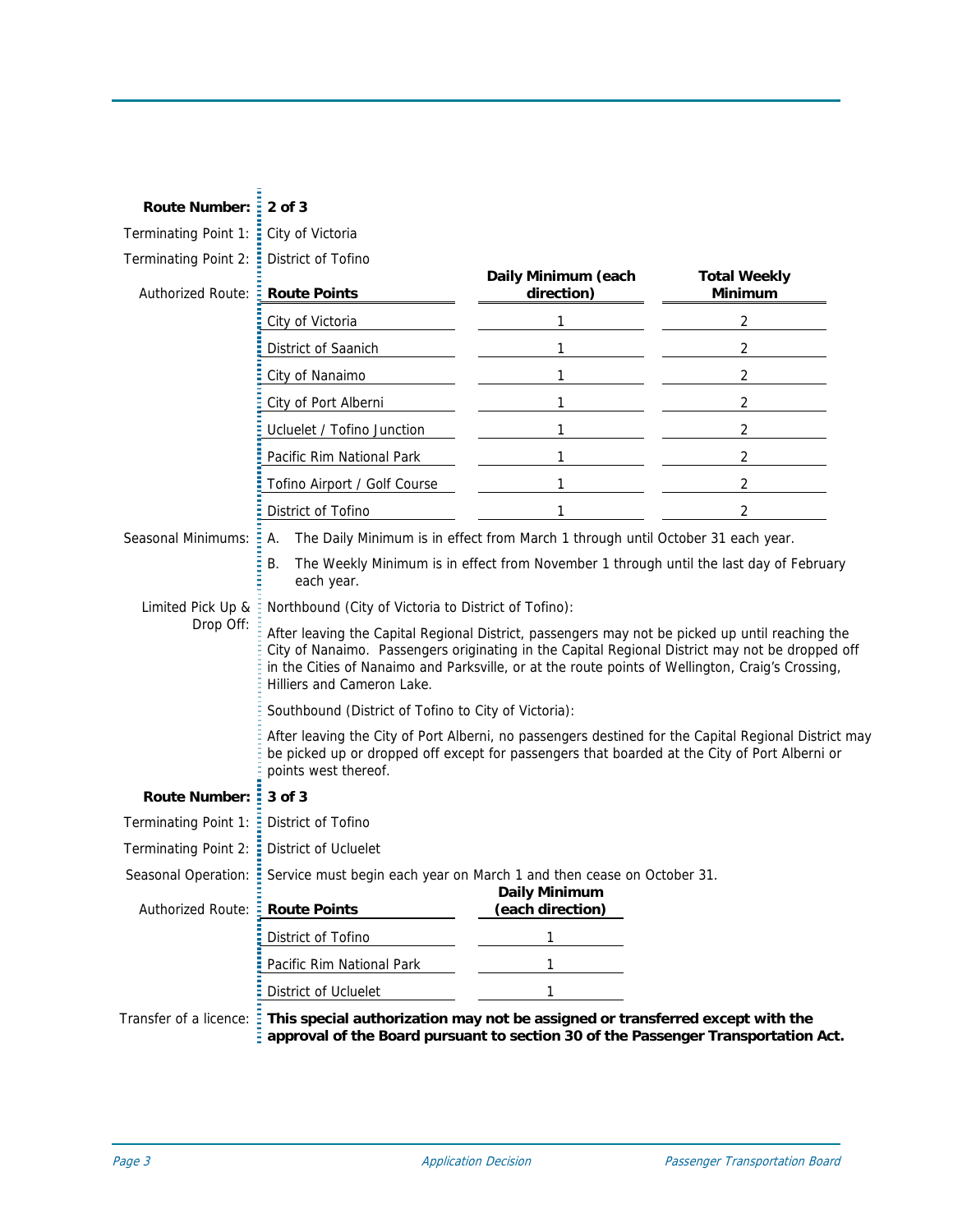| <b>Route Number:</b>             | 2 of 3                                                                                                                                                                                                                                                                                                                               |                                          |                                |  |
|----------------------------------|--------------------------------------------------------------------------------------------------------------------------------------------------------------------------------------------------------------------------------------------------------------------------------------------------------------------------------------|------------------------------------------|--------------------------------|--|
| Terminating Point 1:             | City of Victoria<br>Ξ                                                                                                                                                                                                                                                                                                                |                                          |                                |  |
| Terminating Point 2:<br>÷        | District of Tofino                                                                                                                                                                                                                                                                                                                   |                                          |                                |  |
| <b>Authorized Route:</b>         | <b>Route Points</b>                                                                                                                                                                                                                                                                                                                  | Daily Minimum (each<br>direction)        | <b>Total Weekly</b><br>Minimum |  |
|                                  | City of Victoria                                                                                                                                                                                                                                                                                                                     | 1                                        | 2                              |  |
|                                  | District of Saanich                                                                                                                                                                                                                                                                                                                  | 1                                        | 2                              |  |
|                                  | City of Nanaimo                                                                                                                                                                                                                                                                                                                      | 1                                        | 2                              |  |
|                                  | City of Port Alberni                                                                                                                                                                                                                                                                                                                 | 1                                        | $\overline{2}$                 |  |
|                                  | Ucluelet / Tofino Junction                                                                                                                                                                                                                                                                                                           | 1                                        | 2                              |  |
|                                  | Pacific Rim National Park                                                                                                                                                                                                                                                                                                            | 1                                        | 2                              |  |
|                                  | Tofino Airport / Golf Course                                                                                                                                                                                                                                                                                                         | 1                                        | 2                              |  |
|                                  | District of Tofino                                                                                                                                                                                                                                                                                                                   | 1                                        | 2                              |  |
| Seasonal Minimums:               | The Daily Minimum is in effect from March 1 through until October 31 each year.<br>А.<br>The Weekly Minimum is in effect from November 1 through until the last day of February<br>В.<br>each year.                                                                                                                                  |                                          |                                |  |
|                                  |                                                                                                                                                                                                                                                                                                                                      |                                          |                                |  |
| Limited Pick Up &                | Northbound (City of Victoria to District of Tofino):                                                                                                                                                                                                                                                                                 |                                          |                                |  |
| Drop Off:                        | After leaving the Capital Regional District, passengers may not be picked up until reaching the<br>City of Nanaimo. Passengers originating in the Capital Regional District may not be dropped off<br>in the Cities of Nanaimo and Parksville, or at the route points of Wellington, Craig's Crossing,<br>Hilliers and Cameron Lake. |                                          |                                |  |
|                                  | Southbound (District of Tofino to City of Victoria):                                                                                                                                                                                                                                                                                 |                                          |                                |  |
|                                  | After leaving the City of Port Alberni, no passengers destined for the Capital Regional District may<br>be picked up or dropped off except for passengers that boarded at the City of Port Alberni or<br>points west thereof.                                                                                                        |                                          |                                |  |
| <b>Route Number:</b>             | 3 of 3                                                                                                                                                                                                                                                                                                                               |                                          |                                |  |
| Terminating Point 1:             | District of Tofino                                                                                                                                                                                                                                                                                                                   |                                          |                                |  |
| Terminating Point 2:             | District of Ucluelet<br>Е                                                                                                                                                                                                                                                                                                            |                                          |                                |  |
|                                  | Seasonal Operation: <b>E</b> Service must begin each year on March 1 and then cease on October 31.                                                                                                                                                                                                                                   |                                          |                                |  |
| Authorized Route: : Route Points |                                                                                                                                                                                                                                                                                                                                      | <b>Daily Minimum</b><br>(each direction) |                                |  |
|                                  | District of Tofino                                                                                                                                                                                                                                                                                                                   | 1                                        |                                |  |
|                                  | Pacific Rim National Park                                                                                                                                                                                                                                                                                                            | 1                                        |                                |  |
|                                  | District of Ucluelet                                                                                                                                                                                                                                                                                                                 | 1                                        |                                |  |
| Transfer of a licence:           | This special authorization may not be assigned or transferred except with the                                                                                                                                                                                                                                                        |                                          |                                |  |
|                                  | approval of the Board pursuant to section 30 of the Passenger Transportation Act.                                                                                                                                                                                                                                                    |                                          |                                |  |